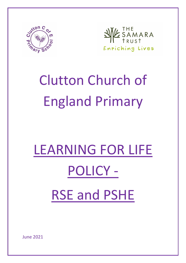

ESAMARA 习 Enriching Lives

## Clutton Church of England Primary

# LEARNING FOR LIFE POLICY - RSE and PSHE

June 2021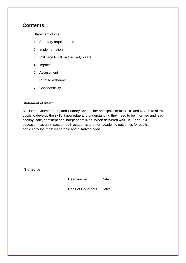### **Contents:**

#### [Statement of intent](#page-1-0)

- 1. [Statutory](#page-2-0) requirements
- 2. Implementation
- 3. RSE and PSHE in the Early Years
- 4. Impact
- 5. Assessment
- 6. Right to withdraw
- <span id="page-1-0"></span>7. Confidentiality

#### **Statement of Intent**

At Clutton Church of England Primary School, the principal aim of PSHE and RSE is to allow pupils to develop the skills, knowledge and understanding they need to be informed and lead healthy, safe, confident and independent lives. When delivered well, RSE and PSHE education has an impact on both academic and non-academic outcomes for pupils, particularly the most vulnerable and disadvantaged.

**Signed by:**

Headteacher Date:

Chair of Governors Date: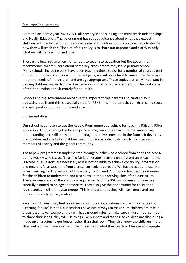#### <span id="page-2-0"></span>Statutory Requirements

From the academic year 2020-2021, all primary schools in England must teach Relationships and Health Education. The government has set out guidance about what they expect children to know by the time they leave primary education but it is up to schools to decide how they will teach this. The aim of this policy is to share our approach and clarify exactly what we will be teaching and when.

There is no legal requirement for schools to teach sex education but the government recommends children learn about some key areas before they leave primary school. Many schools, including ours, have been teaching these topics for a number of years as part of their PSHE curriculum. As with other subjects, we will work hard to make sure the lessons meet the needs of the children and are age appropriate. These topics are really important in helping children deal with current experiences and also to prepare them for the next stage of their education and ultimately for adult life.

Schools and the government recognise the important role parents and carers play in educating pupils and this is especially true for RSHE. It is important that children can discuss and ask questions both at home and at school.

#### Implementation

Our school has chosen to use the Kapow Programme as a vehicle for teaching RSE and PSHE education. Through using the Kapow programme, our children acquire the knowledge, understanding and skills they need to manage their lives now and in the future. It develops the qualities and attributes children need to thrive as individuals, family members and members of society and the global community.

The Kapow programme is implemented throughout the whole school from Year 1 to Year 6 during weekly whole class 'Learning for Life' lessons focusing on different units each term. Discrete PSHE lessons are necessary as it is not possible to achieve continuity, progression and meaningful assessment from a cross-curricular approach. We have decided to use the term 'Learning for Life' instead of the acronyms RSE and PSHE as we feel that this is easier for the children to understand and also sums up the underlying aims of the curriculum. These lessons cover all the statutory requirements of the RSE curriculum and have been carefully planned to be age appropriate. They also give the opportunity for children to revisit topics in different year groups. This is important as they will learn more and see things differently as they mature.

Parents and carers may feel concerned about the conversations children may have in our 'Learning for Life' lessons, but teachers have lots of ways to make sure children are safe in these lessons. For example, they will have ground rules to make sure children feel confident to share their ideas, they will use things like puppets and stories, so children are discussing a made up characters' experiences rather than their own. They also know the children in their class well and will have a sense of their needs and what they teach will be age appropriate.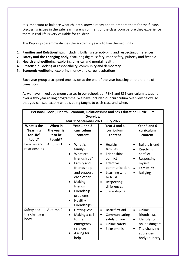It is important to balance what children know already and to prepare them for the future. Discussing issues in the safe learning environment of the classroom before they experience them in real life is very valuable for children.

The Kapow programme divides the academic year into five themed units:

- 1. **Families and Relationships**, including bullying stereotyping and respecting differences.
- 2. **Safety and the changing body**, featuring digital safety, road safety, puberty and first aid.
- 3. **Health and wellbeing**, exploring physical and mental health.
- 4. **Citizenship**, looking at responsibility, community and democracy.
- 5. **Economic wellbeing**, exploring money and career aspirations.

Each year group also spend one lesson at the end of the year focusing on the theme of **transition**.

As we have mixed age group classes in our school, our PSHE and RSE curriculum is taught over a two year rolling programme. We have included our curriculum overview below, so that you can see exactly what is being taught to each class and when.

| Personal, Social, Health, Economic, Relationships and Sex Education Curriculum |                                    |                                                                                                                                                                                                                                        |                                                                                                                                                                                                                              |                                                                                                                                                              |  |  |
|--------------------------------------------------------------------------------|------------------------------------|----------------------------------------------------------------------------------------------------------------------------------------------------------------------------------------------------------------------------------------|------------------------------------------------------------------------------------------------------------------------------------------------------------------------------------------------------------------------------|--------------------------------------------------------------------------------------------------------------------------------------------------------------|--|--|
| <b>Overview</b>                                                                |                                    |                                                                                                                                                                                                                                        |                                                                                                                                                                                                                              |                                                                                                                                                              |  |  |
|                                                                                | Year 1: September 2021 - July 2022 |                                                                                                                                                                                                                                        |                                                                                                                                                                                                                              |                                                                                                                                                              |  |  |
| What is the                                                                    | When in                            | Year 1 and 2                                                                                                                                                                                                                           | Year 3 and 4                                                                                                                                                                                                                 | Year 5 and 6                                                                                                                                                 |  |  |
| 'Learning                                                                      | the year is                        | curriculum                                                                                                                                                                                                                             | curriculum                                                                                                                                                                                                                   | curriculum                                                                                                                                                   |  |  |
| for Life'                                                                      | it to be                           | content                                                                                                                                                                                                                                | content                                                                                                                                                                                                                      | content                                                                                                                                                      |  |  |
| topic?                                                                         | taught?                            |                                                                                                                                                                                                                                        |                                                                                                                                                                                                                              |                                                                                                                                                              |  |  |
| <b>Families and</b><br>relationships                                           | Autumn 1                           | What is<br>$\bullet$<br>family?<br>What are<br>$\bullet$<br>friendships?<br>Family and<br>friends help<br>and support<br>each other<br>Making<br>$\bullet$<br>friends<br>Friendship<br>$\bullet$<br>problems<br>Healthy<br>Friendships | Healthy<br>$\bullet$<br>families<br>Friendships-<br>$\bullet$<br>conflict<br>Effective<br>$\bullet$<br>communication<br>Learning who<br>٠<br>to trust<br>Respecting<br>$\bullet$<br>differences<br>Stereotyping<br>$\bullet$ | <b>Build a friend</b><br>$\bullet$<br>Resolving<br>$\bullet$<br>conflict<br>Respecting<br>myself<br>Family life<br>$\bullet$<br><b>Bullying</b><br>$\bullet$ |  |  |
| Safety and<br>the changing<br>body                                             | Autumn 2                           | Getting lost<br>$\bullet$<br>Making a call<br>$\bullet$<br>to the<br>emergency<br>services<br>Asking for<br>help                                                                                                                       | <b>Basic first aid</b><br>$\bullet$<br>Communicating<br>$\bullet$<br>safely online<br>Online safety<br>Fake emails<br>$\bullet$                                                                                              | Online<br>$\bullet$<br>friendships<br>Identifying<br>٠<br>online dangers<br>The changing<br>$\bullet$<br>adolescent<br>body (puberty,                        |  |  |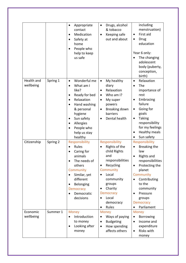|                         |          | Appropriate<br>contact<br>Medication<br>$\bullet$<br>Safety at<br>$\bullet$<br>home<br>People who<br>help to keep<br>us safe                                                                                                       | Drugs, alcohol<br>$\bullet$<br>& tobacco<br>Keeping safe<br>$\bullet$<br>out and about                                                                                                                                       | including<br>menstruation)<br>First aid<br>$\bullet$<br>Drug<br>$\bullet$<br>education<br>Year 6 only:<br>The changing<br>adolescent<br>body (puberty,<br>conception,<br>birth)                                                                |
|-------------------------|----------|------------------------------------------------------------------------------------------------------------------------------------------------------------------------------------------------------------------------------------|------------------------------------------------------------------------------------------------------------------------------------------------------------------------------------------------------------------------------|------------------------------------------------------------------------------------------------------------------------------------------------------------------------------------------------------------------------------------------------|
| Health and<br>wellbeing | Spring 1 | Wonderful me<br>$\bullet$<br>What am I<br>$\bullet$<br>like?<br>Ready for bed<br>Relaxation<br>$\bullet$<br>Hand washing<br>& personal<br>hygiene<br>Sun safety<br>$\bullet$<br>Allergies<br>People who<br>help us stay<br>healthy | My healthy<br>$\bullet$<br>diary<br>Relaxation<br>$\bullet$<br>Who am I?<br>My super<br>$\bullet$<br>powers<br>Breaking down<br>$\bullet$<br>barriers<br>Dental health                                                       | Relaxation<br>$\bullet$<br>The<br>importance of<br>rest<br>Embracing<br>$\bullet$<br>failure<br>Going for<br>$\bullet$<br>goals<br><b>Taking</b><br>$\bullet$<br>responsibility<br>for my feelings<br>Healthy meals<br>Sun safety<br>$\bullet$ |
| Citizenship             | Spring 2 | Responsibility<br>Rules<br>Caring for<br>animals<br>The needs of<br>others<br>Community<br>Similar, yet<br>different<br>Belonging<br><b>Democracy</b><br>Democratic<br>decisions                                                   | Responsibility<br>Rights of the<br>child Rights<br>and<br>responsibilities<br>Recycling<br>$\bullet$<br>Community<br>Local<br>$\bullet$<br>community<br>groups<br>Charity<br><b>Democracy</b><br>Local<br>democracy<br>Rules | Responsibility<br>Breaking the<br>law<br><b>Rights and</b><br>responsibilities<br>Protecting the<br>planet<br>Community<br>Contributing<br>to the<br>community<br>Pressure<br>$\bullet$<br>groups<br><b>Democracy</b><br>Parliament            |
| Economic<br>wellbeing   | Summer 1 | <b>Money</b><br>Introduction<br>to money<br>Looking after<br>$\bullet$<br>money                                                                                                                                                    | <b>Money</b><br>Ways of paying<br><b>Budgeting</b><br>$\bullet$<br>How spending<br>$\bullet$<br>affects others                                                                                                               | <b>Money</b><br>Borrowing<br>Income and<br>expenditure<br>Risks with<br>$\bullet$<br>money                                                                                                                                                     |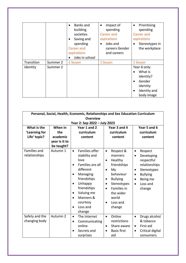|            |          | Banks and<br>building<br>societies<br>Saving and<br>spending<br>Career and<br>aspirations<br>Jobs in school | Impact of<br>$\bullet$<br>spending<br><b>Career and</b><br>aspirations<br>Jobs and<br>careers Gender<br>and careers | Prioritising<br>$\bullet$<br>spending<br>Career and<br>aspirations<br>Stereotypes in<br>the workplace              |
|------------|----------|-------------------------------------------------------------------------------------------------------------|---------------------------------------------------------------------------------------------------------------------|--------------------------------------------------------------------------------------------------------------------|
| Transition | Summer 2 | 1 lesson                                                                                                    | 1 lesson                                                                                                            | 1 lesson                                                                                                           |
| Identity   | Summer 2 |                                                                                                             |                                                                                                                     | Year 6 only:<br>What is<br>identity?<br>Gender<br>$\bullet$<br>identity<br>Identity and<br>$\bullet$<br>body image |

| Personal, Social, Health, Economic, Relationships and Sex Education Curriculum |               |                                                                                                                                                                                                              |                                                                                                                                                                                                                                              |                                                                                                                                                                              |
|--------------------------------------------------------------------------------|---------------|--------------------------------------------------------------------------------------------------------------------------------------------------------------------------------------------------------------|----------------------------------------------------------------------------------------------------------------------------------------------------------------------------------------------------------------------------------------------|------------------------------------------------------------------------------------------------------------------------------------------------------------------------------|
| <b>Overview</b>                                                                |               |                                                                                                                                                                                                              |                                                                                                                                                                                                                                              |                                                                                                                                                                              |
| Year 2: Sep 2022 - July 2023                                                   |               |                                                                                                                                                                                                              |                                                                                                                                                                                                                                              |                                                                                                                                                                              |
| What is the                                                                    | When in       | Year 1 and 2                                                                                                                                                                                                 | Year 3 and 4                                                                                                                                                                                                                                 | Year 5 and 6                                                                                                                                                                 |
| 'Learning for                                                                  | the           | curriculum                                                                                                                                                                                                   | curriculum                                                                                                                                                                                                                                   | curriculum                                                                                                                                                                   |
| Life' topic?                                                                   | academic      | content                                                                                                                                                                                                      | content                                                                                                                                                                                                                                      | content                                                                                                                                                                      |
|                                                                                | year is it to |                                                                                                                                                                                                              |                                                                                                                                                                                                                                              |                                                                                                                                                                              |
|                                                                                | be taught?    |                                                                                                                                                                                                              |                                                                                                                                                                                                                                              |                                                                                                                                                                              |
| <b>Families and</b><br>relationships                                           | Autumn 1      | Families offer<br>$\bullet$<br>stability and<br>love<br>Families are all<br>different<br>Managing<br>friendships<br>Unhappy<br>friendships<br>Valuing me<br>٠<br>Manners &<br>courtesy<br>Loss and<br>change | Respect &<br>$\bullet$<br>manners<br>Healthy<br>$\bullet$<br>friendships<br>My<br>$\bullet$<br>behaviour<br><b>Bullying</b><br>$\bullet$<br>Stereotypes<br>$\bullet$<br>Families in<br>$\bullet$<br>the wider<br>world<br>Loss and<br>change | Respect<br>$\bullet$<br>Developing<br>$\bullet$<br>respectful<br>relationships<br>Stereotypes<br>$\bullet$<br><b>Bullying</b><br>$\bullet$<br>Being me<br>Loss and<br>change |
| Safety and the<br>changing body                                                | Autumn 2      | The Internet<br>$\bullet$<br>Communicating<br>online<br>Secrets and<br>surprises                                                                                                                             | Online<br>$\bullet$<br>restrictions<br>Share aware<br>$\bullet$<br><b>Basic first</b><br>$\bullet$<br>aid                                                                                                                                    | Drugs alcohol<br>$\bullet$<br>& tobacco<br>First aid<br>$\bullet$<br>Critical digital<br>$\bullet$<br>consumers                                                              |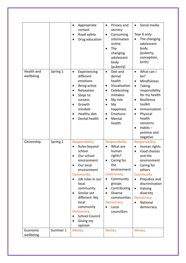|                         |          | Appropriate<br>$\bullet$<br>contact<br>Road safety<br>Drug education                                                                                                                                                                                                                             | Privacy and<br>$\bullet$<br>secrecy<br>Consuming<br>$\bullet$<br>information<br>online<br>The<br>changing<br>adolescent<br>body<br>(puberty)                                                                                                  | Social media<br>$\bullet$<br>Year 6 only:<br>The changing<br>adolescent<br>body<br>(puberty,<br>conception,<br>birth)                                                                                                                                                                         |
|-------------------------|----------|--------------------------------------------------------------------------------------------------------------------------------------------------------------------------------------------------------------------------------------------------------------------------------------------------|-----------------------------------------------------------------------------------------------------------------------------------------------------------------------------------------------------------------------------------------------|-----------------------------------------------------------------------------------------------------------------------------------------------------------------------------------------------------------------------------------------------------------------------------------------------|
| Health and<br>wellbeing | Spring 1 | Experiencing<br>$\bullet$<br>different<br>emotions<br>Being active<br>٠<br>Relaxation<br>$\bullet$<br>Steps to<br>success<br>Growth<br>$\bullet$<br>mindset<br>Healthy diet<br>$\bullet$<br>Dental health                                                                                        | Diet and<br>$\bullet$<br>dental<br>health<br>Visualisation<br>$\bullet$<br>Celebrating<br>$\bullet$<br>mistakes<br>My role<br>$\bullet$<br>My<br>$\bullet$<br>happiness<br><b>Emotions</b><br>$\bullet$<br>Mental<br>$\bullet$<br>health      | What can I<br>$\bullet$<br>be?<br>Mindfulness<br>$\bullet$<br>Taking<br>$\bullet$<br>responsibility<br>for my health<br>Resilience<br>$\bullet$<br>toolkit<br>Immunisation<br>$\bullet$<br>Physical<br>$\bullet$<br>health<br>concerns<br>$Habits -$<br>$\bullet$<br>positive and<br>negative |
| Citizenship             | Spring 2 | Responsibility<br>Rules beyond<br>school<br>Our school<br>environment<br>Our local<br>environment<br>Community<br>Job roles in our<br>local<br>community<br>Similar yet<br>$\bullet$<br>different: My<br>local<br>community<br><b>Democracy</b><br><b>School Council</b><br>Giving my<br>opinion | Responsibility<br>What are<br>human<br>rights?<br>Caring for<br>the<br>environment<br>Community<br>Community<br>groups<br>Contributing<br>$\bullet$<br><b>Diverse</b><br>$\bullet$<br>communities<br><b>Democracy</b><br>Local<br>councillors | Responsibility<br>Human rights<br>Food choices<br>$\bullet$<br>and the<br>environment<br>Caring for<br>others<br>Community<br>Prejudice and<br>discrimination<br>Valuing<br>$\bullet$<br>diversity<br><b>Democracy</b><br>National<br>democracy                                               |
| Economic<br>wellbeing   | Summer 1 | <b>Money</b>                                                                                                                                                                                                                                                                                     | <b>Money</b>                                                                                                                                                                                                                                  | <b>Money</b>                                                                                                                                                                                                                                                                                  |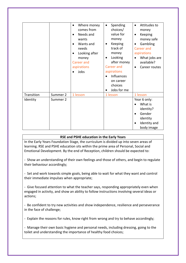|            |          | Where money<br>comes from<br>Needs and<br>wants<br>Wants and<br>needs<br>Looking after<br>money<br><b>Career and</b><br>aspirations<br>Jobs | Spending<br>$\bullet$<br>choices/<br>value for<br>money<br>Keeping<br>٠<br>track of<br>money<br>Looking<br>$\bullet$<br>after money<br><b>Career</b> and<br>aspirations<br>Influences<br>on career<br>choices<br>Jobs for me | Attitudes to<br>money<br>Keeping<br>$\bullet$<br>money safe<br>Gambling<br>$\bullet$<br><b>Career</b> and<br>aspirations<br>What jobs are<br>available?<br>Career routes |
|------------|----------|---------------------------------------------------------------------------------------------------------------------------------------------|------------------------------------------------------------------------------------------------------------------------------------------------------------------------------------------------------------------------------|--------------------------------------------------------------------------------------------------------------------------------------------------------------------------|
| Transition | Summer 2 | 1 lesson                                                                                                                                    | 1 lesson                                                                                                                                                                                                                     | 1 lesson                                                                                                                                                                 |
| Identity   | Summer 2 |                                                                                                                                             |                                                                                                                                                                                                                              | Year 6 only:<br>What is<br>identity?<br>Gender<br>identity<br>Identity and<br>body image                                                                                 |

#### **RSE and PSHE education in the Early Years**

In the Early Years Foundation Stage, the curriculum is divided up into seven areas of learning. RSE and PSHE education sits within the prime area of Personal, Social and Emotional Development. By the end of Reception, children should be expected to:

- Show an understanding of their own feelings and those of others, and begin to regulate their behaviour accordingly;

- Set and work towards simple goals, being able to wait for what they want and control their immediate impulses when appropriate;

- Give focused attention to what the teacher says, responding appropriately even when engaged in activity, and show an ability to follow instructions involving several ideas or actions;

- Be confident to try new activities and show independence, resilience and perseverance in the face of challenge;

- Explain the reasons for rules, know right from wrong and try to behave accordingly;

- Manage their own basic hygiene and personal needs, including dressing, going to the toilet and understanding the importance of healthy food choices;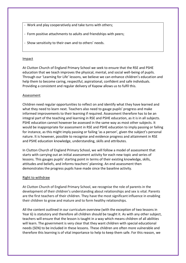- Work and play cooperatively and take turns with others;
- Form positive attachments to adults and friendships with peers;
- Show sensitivity to their own and to others' needs.

#### Impact

At Clutton Church of England Primary School we seek to ensure that the RSE and PSHE education that we teach improves the physical, mental, and social well-being of pupils. Through our 'Learning for Life' lessons, we believe we can enhance children's education and help them to become caring, respectful, aspirational, confident and safe individuals. Providing a consistent and regular delivery of Kapow allows us to fulfil this.

#### Assessment

Children need regular opportunities to reflect on and identify what they have learned and what they need to learn next. Teachers also need to gauge pupils' progress and make informed improvements to their learning if required. Assessment therefore has to be an integral part of the teaching and learning in RSE and PSHE education, as it is in all subjects. PSHE education cannot however be assessed in the same way as most other subjects. It would be inappropriate for assessment in RSE and PSHE education to imply passing or failing for instance, as this might imply passing or failing 'as a person', given the subject's personal nature. It is however, possible to recognise and evidence progress and attainment in RSE and PSHE education knowledge, understanding, skills and attributes.

In Clutton Church of England Primary School, we will follow a model of assessment that starts with carrying out an initial assessment activity for each new topic and series of lessons. This gauges pupils' starting point in terms of their existing knowledge, skills, attitudes and beliefs, and informs teachers' planning. An end assessment then demonstrates the progress pupils have made since the baseline activity.

#### Right to withdraw

At Clutton Church of England Primary School, we recognise the role of parents in the development of their children's understanding about relationships and sex is vital. Parents are the first teachers of their children. They have the most significant influence in enabling their children to grow and mature and to form healthy relationships.

All the content outlined in our curriculum overview (with the exception of two lessons in Year 6) is statutory and therefore all children should be taught it. As with any other subject, teachers will ensure that the lesson is taught in a way which means children of all abilities will learn. The government is very clear that they want children with special educational needs (SEN) to be included in these lessons. These children are often more vulnerable and therefore this learning is of vital importance to help to keep them safe. For this reason, we